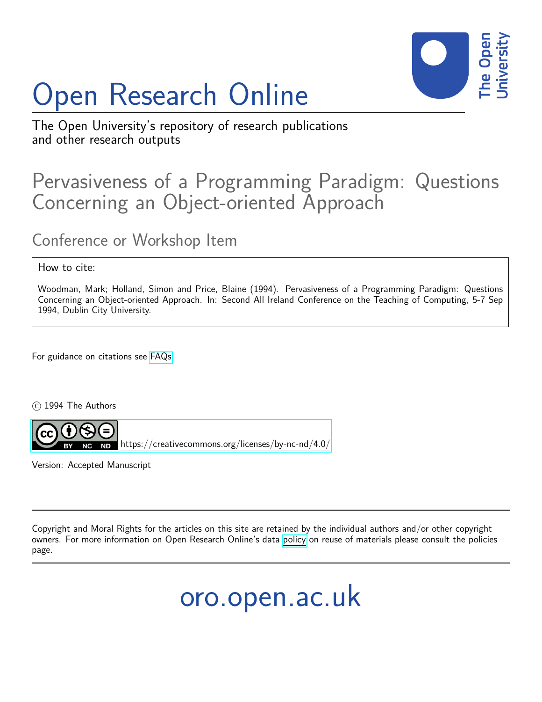# Open Research Online



The Open University's repository of research publications and other research outputs

# Pervasiveness of a Programming Paradigm: Questions Concerning an Object-oriented Approach

# Conference or Workshop Item

#### How to cite:

Woodman, Mark; Holland, Simon and Price, Blaine (1994). Pervasiveness of a Programming Paradigm: Questions Concerning an Object-oriented Approach. In: Second All Ireland Conference on the Teaching of Computing, 5-7 Sep 1994, Dublin City University.

For guidance on citations see [FAQs.](http://oro.open.ac.uk/help/helpfaq.html)

c 1994 The Authors



<https://creativecommons.org/licenses/by-nc-nd/4.0/>

Version: Accepted Manuscript

Copyright and Moral Rights for the articles on this site are retained by the individual authors and/or other copyright owners. For more information on Open Research Online's data [policy](http://oro.open.ac.uk/policies.html) on reuse of materials please consult the policies page.

oro.open.ac.uk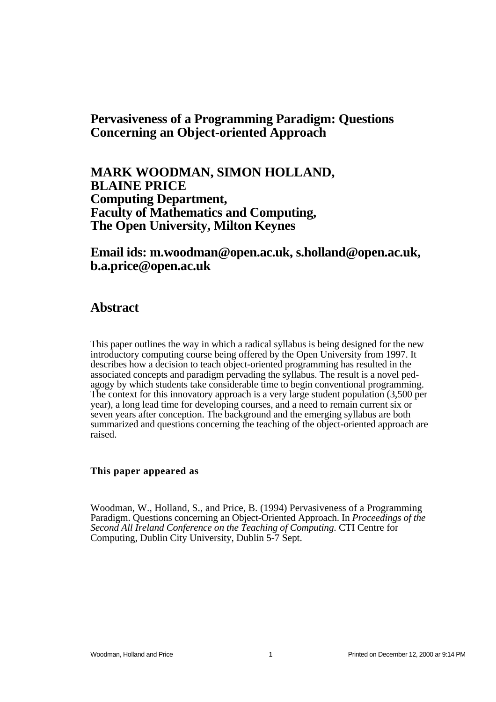### **Pervasiveness of a Programming Paradigm: Questions Concerning an Object-oriented Approach**

**MARK WOODMAN, SIMON HOLLAND, BLAINE PRICE Computing Department, Faculty of Mathematics and Computing, The Open University, Milton Keynes**

#### **Email ids: m.woodman@open.ac.uk, s.holland@open.ac.uk, b.a.price@open.ac.uk**

#### **Abstract**

This paper outlines the way in which a radical syllabus is being designed for the new introductory computing course being offered by the Open University from 1997. It describes how a decision to teach object-oriented programming has resulted in the associated concepts and paradigm pervading the syllabus. The result is a novel pedagogy by which students take considerable time to begin conventional programming. The context for this innovatory approach is a very large student population (3,500 per year), a long lead time for developing courses, and a need to remain current six or seven years after conception. The background and the emerging syllabus are both summarized and questions concerning the teaching of the object-oriented approach are raised.

#### **This paper appeared as**

Woodman, W., Holland, S., and Price, B. (1994) Pervasiveness of a Programming Paradigm. Questions concerning an Object-Oriented Approach. In *Proceedings of the Second All Ireland Conference on the Teaching of Computing*. CTI Centre for Computing, Dublin City University, Dublin 5-7 Sept.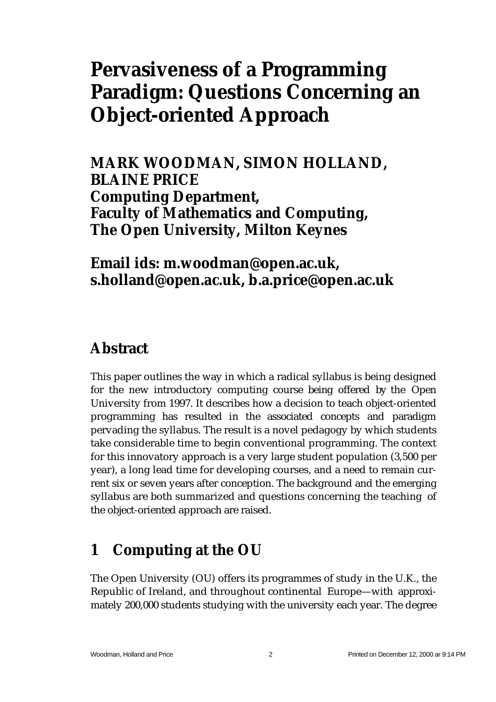# **Pervasiveness of a Programming Paradigm: Questions Concerning an Object-oriented Approach**

**MARK WOODMAN, SIMON HOLLAND, BLAINE PRICE Computing Department, Faculty of Mathematics and Computing, The Open University, Milton Keynes**

### **Email ids: m.woodman@open.ac.uk, s.holland@open.ac.uk, b.a.price@open.ac.uk**

### **Abstract**

This paper outlines the way in which a radical syllabus is being designed for the new introductory computing course being offered by the Open University from 1997. It describes how a decision to teach object-oriented programming has resulted in the associated concepts and paradigm pervading the syllabus. The result is a novel pedagogy by which students take considerable time to begin conventional programming. The context for this innovatory approach is a very large student population (3,500 per year), a long lead time for developing courses, and a need to remain current six or seven years after conception. The background and the emerging syllabus are both summarized and questions concerning the teaching of the object-oriented approach are raised.

# **1 Computing at the OU**

The Open University (OU) offers its programmes of study in the U.K., the Republic of Ireland, and throughout continental Europe—with approximately 200,000 students studying with the university each year. The degree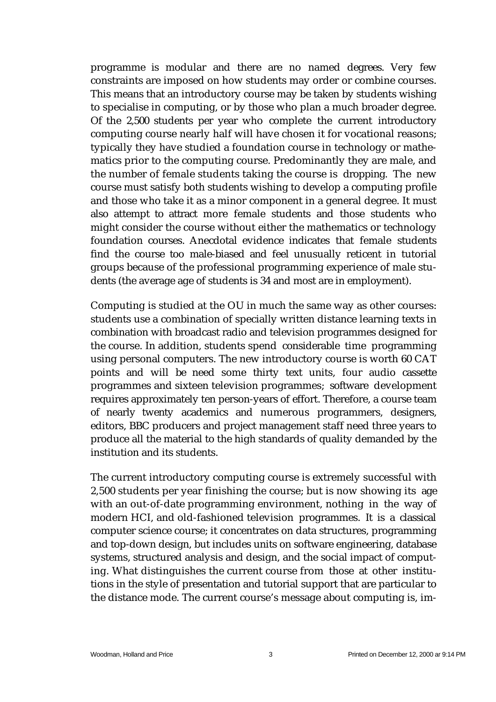programme is modular and there are no named degrees. Very few constraints are imposed on how students may order or combine courses. This means that an introductory course may be taken by students wishing to specialise in computing, or by those who plan a much broader degree. Of the 2,500 students per year who complete the current introductory computing course nearly half will have chosen it for vocational reasons; typically they have studied a foundation course in technology or mathematics prior to the computing course. Predominantly they are male, and the number of female students taking the course is dropping. The new course must satisfy both students wishing to develop a computing profile and those who take it as a minor component in a general degree. It must also attempt to attract more female students and those students who might consider the course without either the mathematics or technology foundation courses. Anecdotal evidence indicates that female students find the course too male-biased and feel unusually reticent in tutorial groups because of the professional programming experience of male students (the average age of students is 34 and most are in employment).

Computing is studied at the OU in much the same way as other courses: students use a combination of specially written distance learning texts in combination with broadcast radio and television programmes designed for the course. In addition, students spend considerable time programming using personal computers. The new introductory course is worth 60 CAT points and will be need some thirty text units, four audio cassette programmes and sixteen television programmes; software development requires approximately ten person-years of effort. Therefore, a course team of nearly twenty academics and numerous programmers, designers, editors, BBC producers and project management staff need three years to produce all the material to the high standards of quality demanded by the institution and its students.

The current introductory computing course is extremely successful with 2,500 students per year finishing the course; but is now showing its age with an out-of-date programming environment, nothing in the way of modern HCI, and old-fashioned television programmes. It is a classical computer science course; it concentrates on data structures, programming and top-down design, but includes units on software engineering, database systems, structured analysis and design, and the social impact of computing. What distinguishes the current course from those at other institutions in the style of presentation and tutorial support that are particular to the distance mode. The current course's message about computing is, im-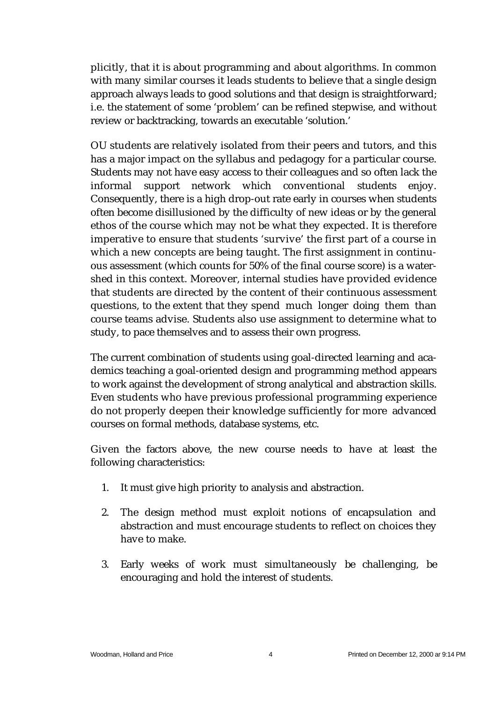plicitly, that it is about programming and about algorithms. In common with many similar courses it leads students to believe that a single design approach always leads to good solutions and that design is straightforward; i.e. the statement of some 'problem' can be refined stepwise, and without review or backtracking, towards an executable 'solution.'

OU students are relatively isolated from their peers and tutors, and this has a major impact on the syllabus and pedagogy for a particular course. Students may not have easy access to their colleagues and so often lack the informal support network which conventional students enjoy. Consequently, there is a high drop-out rate early in courses when students often become disillusioned by the difficulty of new ideas or by the general ethos of the course which may not be what they expected. It is therefore imperative to ensure that students 'survive' the first part of a course in which a new concepts are being taught. The first assignment in continuous assessment (which counts for 50% of the final course score) is a watershed in this context. Moreover, internal studies have provided evidence that students are directed by the content of their continuous assessment questions, to the extent that they spend much longer doing them than course teams advise. Students also use assignment to determine what to study, to pace themselves and to assess their own progress.

The current combination of students using goal-directed learning and academics teaching a goal-oriented design and programming method appears to work against the development of strong analytical and abstraction skills. Even students who have previous professional programming experience do not properly deepen their knowledge sufficiently for more advanced courses on formal methods, database systems, etc.

Given the factors above, the new course needs to have at least the following characteristics:

- 1. It must give high priority to analysis and abstraction.
- 2. The design method must exploit notions of encapsulation and abstraction and must encourage students to reflect on choices they have to make.
- 3. Early weeks of work must simultaneously be challenging, be encouraging and hold the interest of students.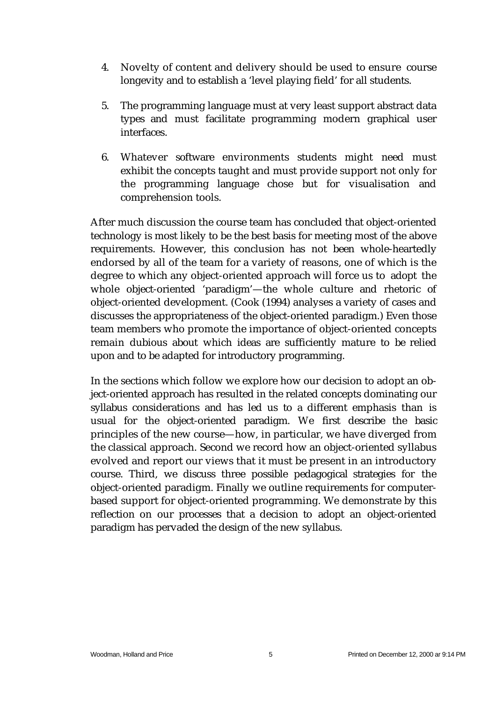- 4. Novelty of content and delivery should be used to ensure course longevity and to establish a 'level playing field' for all students.
- 5. The programming language must at very least support abstract data types and must facilitate programming modern graphical user interfaces.
- 6. Whatever software environments students might need must exhibit the concepts taught and must provide support not only for the programming language chose but for visualisation and comprehension tools.

After much discussion the course team has concluded that object-oriented technology is most likely to be the best basis for meeting most of the above requirements. However, this conclusion has not been whole-heartedly endorsed by all of the team for a variety of reasons, one of which is the degree to which any object-oriented approach will force us to adopt the whole object-oriented 'paradigm'—the whole culture and rhetoric of object-oriented development. (Cook (1994) analyses a variety of cases and discusses the appropriateness of the object-oriented paradigm.) Even those team members who promote the importance of object-oriented concepts remain dubious about which ideas are sufficiently mature to be relied upon and to be adapted for introductory programming.

In the sections which follow we explore how our decision to adopt an object-oriented approach has resulted in the related concepts dominating our syllabus considerations and has led us to a different emphasis than is usual for the object-oriented paradigm. We first describe the basic principles of the new course—how, in particular, we have diverged from the classical approach. Second we record how an object-oriented syllabus evolved and report our views that it must be present in an introductory course. Third, we discuss three possible pedagogical strategies for the object-oriented paradigm. Finally we outline requirements for computerbased support for object-oriented programming. We demonstrate by this reflection on our processes that a decision to adopt an object-oriented paradigm has pervaded the design of the new syllabus.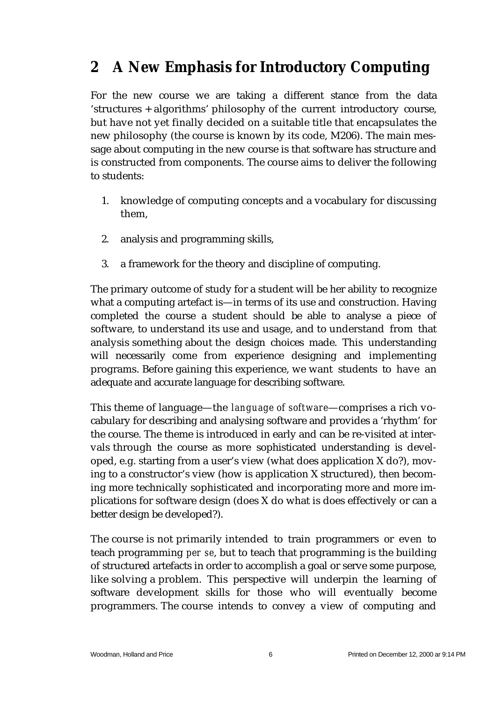# **2 A New Emphasis for Introductory Computing**

For the new course we are taking a different stance from the data 'structures + algorithms' philosophy of the current introductory course, but have not yet finally decided on a suitable title that encapsulates the new philosophy (the course is known by its code, M206). The main message about computing in the new course is that software has structure and is constructed from components. The course aims to deliver the following to students:

- 1. knowledge of computing concepts and a vocabulary for discussing them,
- 2. analysis and programming skills,
- 3. a framework for the theory and discipline of computing.

The primary outcome of study for a student will be her ability to recognize what a computing artefact is—in terms of its use and construction. Having completed the course a student should be able to analyse a piece of software, to understand its use and usage, and to understand from that analysis something about the design choices made. This understanding will necessarily come from experience designing and implementing programs. Before gaining this experience, we want students to have an adequate and accurate language for describing software.

This theme of language—the *language of software*—comprises a rich vocabulary for describing and analysing software and provides a 'rhythm' for the course. The theme is introduced in early and can be re-visited at intervals through the course as more sophisticated understanding is developed, e.g. starting from a user's view (what does application X do?), moving to a constructor's view (how is application X structured), then becoming more technically sophisticated and incorporating more and more implications for software design (does X do what is does effectively or can a better design be developed?).

The course is not primarily intended to train programmers or even to teach programming *per se*, but to teach that programming is the building of structured artefacts in order to accomplish a goal or serve some purpose, like solving a problem. This perspective will underpin the learning of software development skills for those who will eventually become programmers. The course intends to convey a view of computing and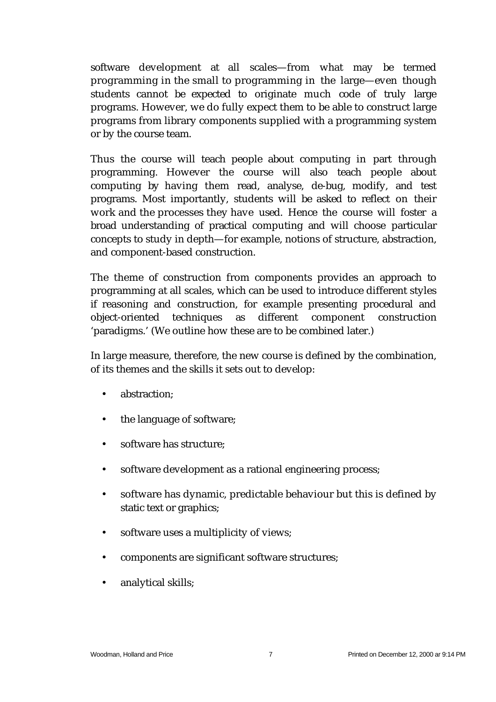software development at all scales—from what may be termed programming in the small to programming in the large—even though students cannot be expected to originate much code of truly large programs. However, we do fully expect them to be able to construct large programs from library components supplied with a programming system or by the course team.

Thus the course will teach people about computing in part through programming. However the course will also teach people about computing by having them read, analyse, de-bug, modify, and test programs. Most importantly, students will be asked to reflect on their work and the processes they have used. Hence the course will foster a broad understanding of practical computing and will choose particular concepts to study in depth—for example, notions of structure, abstraction, and component-based construction.

The theme of construction from components provides an approach to programming at all scales, which can be used to introduce different styles if reasoning and construction, for example presenting procedural and object-oriented techniques as different component construction 'paradigms.' (We outline how these are to be combined later.)

In large measure, therefore, the new course is defined by the combination, of its themes and the skills it sets out to develop:

- abstraction;
- the language of software;
- software has structure;
- software development as a rational engineering process;
- software has dynamic, predictable behaviour but this is defined by static text or graphics;
- software uses a multiplicity of views;
- components are significant software structures;
- analytical skills;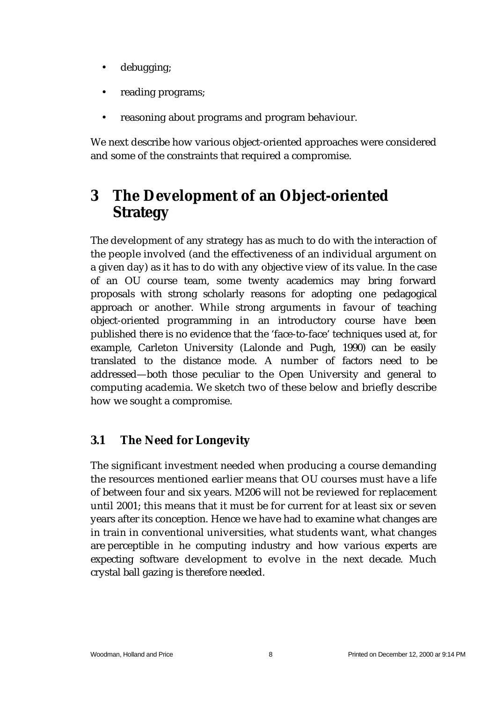- debugging;
- reading programs;
- reasoning about programs and program behaviour.

We next describe how various object-oriented approaches were considered and some of the constraints that required a compromise.

# **3 The Development of an Object-oriented Strategy**

The development of any strategy has as much to do with the interaction of the people involved (and the effectiveness of an individual argument on a given day) as it has to do with any objective view of its value. In the case of an OU course team, some twenty academics may bring forward proposals with strong scholarly reasons for adopting one pedagogical approach or another. While strong arguments in favour of teaching object-oriented programming in an introductory course have been published there is no evidence that the 'face-to-face' techniques used at, for example, Carleton University (Lalonde and Pugh, 1990) can be easily translated to the distance mode. A number of factors need to be addressed—both those peculiar to the Open University and general to computing academia. We sketch two of these below and briefly describe how we sought a compromise.

### **3.1 The Need for Longevity**

The significant investment needed when producing a course demanding the resources mentioned earlier means that OU courses must have a life of between four and six years. M206 will not be reviewed for replacement until 2001; this means that it must be for current for at least six or seven years after its conception. Hence we have had to examine what changes are in train in conventional universities, what students want, what changes are perceptible in he computing industry and how various experts are expecting software development to evolve in the next decade. Much crystal ball gazing is therefore needed.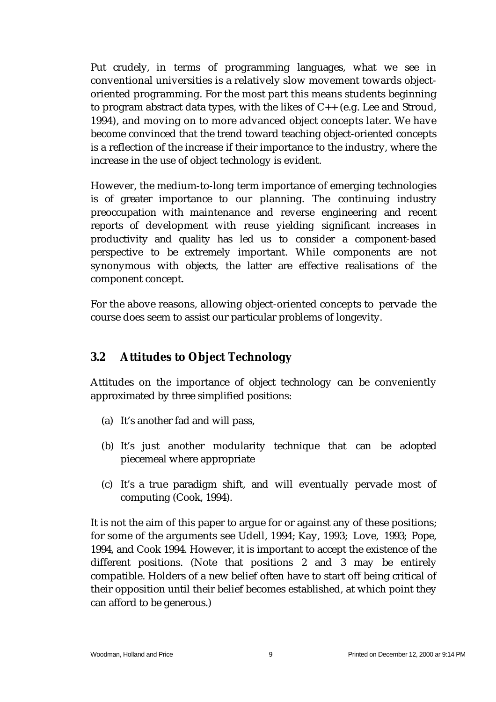Put crudely, in terms of programming languages, what we see in conventional universities is a relatively slow movement towards objectoriented programming. For the most part this means students beginning to program abstract data types, with the likes of  $C_{++}$  (e.g. Lee and Stroud, 1994), and moving on to more advanced object concepts later. We have become convinced that the trend toward teaching object-oriented concepts is a reflection of the increase if their importance to the industry, where the increase in the use of object technology is evident.

However, the medium-to-long term importance of emerging technologies is of greater importance to our planning. The continuing industry preoccupation with maintenance and reverse engineering and recent reports of development with reuse yielding significant increases in productivity and quality has led us to consider a component-based perspective to be extremely important. While components are not synonymous with objects, the latter are effective realisations of the component concept.

For the above reasons, allowing object-oriented concepts to pervade the course does seem to assist our particular problems of longevity.

#### **3.2 Attitudes to Object Technology**

Attitudes on the importance of object technology can be conveniently approximated by three simplified positions:

- (a) It's another fad and will pass,
- (b) It's just another modularity technique that can be adopted piecemeal where appropriate
- (c) It's a true paradigm shift, and will eventually pervade most of computing (Cook, 1994).

It is not the aim of this paper to argue for or against any of these positions; for some of the arguments see Udell, 1994; Kay, 1993; Love, 1993; Pope, 1994, and Cook 1994. However, it is important to accept the existence of the different positions. (Note that positions 2 and 3 may be entirely compatible. Holders of a new belief often have to start off being critical of their opposition until their belief becomes established, at which point they can afford to be generous.)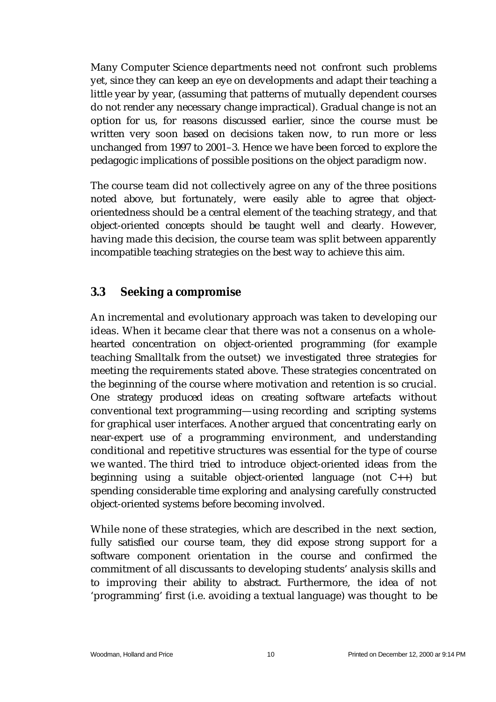Many Computer Science departments need not confront such problems yet, since they can keep an eye on developments and adapt their teaching a little year by year, (assuming that patterns of mutually dependent courses do not render any necessary change impractical). Gradual change is not an option for us, for reasons discussed earlier, since the course must be written very soon based on decisions taken now, to run more or less unchanged from 1997 to 2001–3. Hence we have been forced to explore the pedagogic implications of possible positions on the object paradigm now.

The course team did not collectively agree on any of the three positions noted above, but fortunately, were easily able to agree that objectorientedness should be a central element of the teaching strategy, and that object-oriented concepts should be taught well and clearly*.* However, having made this decision, the course team was split between apparently incompatible teaching strategies on the best way to achieve this aim.

#### **3.3 Seeking a compromise**

An incremental and evolutionary approach was taken to developing our ideas. When it became clear that there was not a consenus on a wholehearted concentration on object-oriented programming (for example teaching Smalltalk from the outset) we investigated three strategies for meeting the requirements stated above. These strategies concentrated on the beginning of the course where motivation and retention is so crucial. One strategy produced ideas on creating software artefacts without conventional text programming—using recording and scripting systems for graphical user interfaces. Another argued that concentrating early on near-expert use of a programming environment, and understanding conditional and repetitive structures was essential for the type of course we wanted. The third tried to introduce object-oriented ideas from the beginning using a suitable object-oriented language (not C++) but spending considerable time exploring and analysing carefully constructed object-oriented systems before becoming involved.

While none of these strategies, which are described in the next section, fully satisfied our course team, they did expose strong support for a software component orientation in the course and confirmed the commitment of all discussants to developing students' analysis skills and to improving their ability to abstract. Furthermore, the idea of not 'programming' first (i.e. avoiding a textual language) was thought to be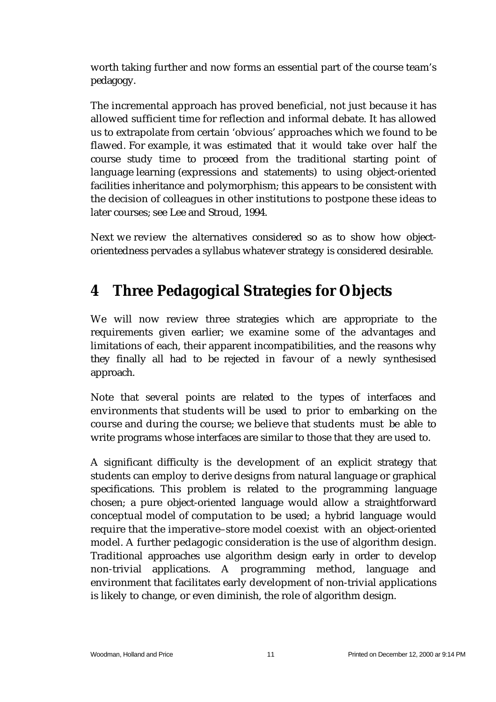worth taking further and now forms an essential part of the course team's pedagogy.

The incremental approach has proved beneficial, not just because it has allowed sufficient time for reflection and informal debate. It has allowed us to extrapolate from certain 'obvious' approaches which we found to be flawed. For example, it was estimated that it would take over half the course study time to proceed from the traditional starting point of language learning (expressions and statements) to using object-oriented facilities inheritance and polymorphism; this appears to be consistent with the decision of colleagues in other institutions to postpone these ideas to later courses; see Lee and Stroud, 1994.

Next we review the alternatives considered so as to show how objectorientedness pervades a syllabus whatever strategy is considered desirable.

# **4 Three Pedagogical Strategies for Objects**

We will now review three strategies which are appropriate to the requirements given earlier; we examine some of the advantages and limitations of each, their apparent incompatibilities, and the reasons why they finally all had to be rejected in favour of a newly synthesised approach.

Note that several points are related to the types of interfaces and environments that students will be used to prior to embarking on the course and during the course; we believe that students must be able to write programs whose interfaces are similar to those that they are used to.

A significant difficulty is the development of an explicit strategy that students can employ to derive designs from natural language or graphical specifications. This problem is related to the programming language chosen; a pure object-oriented language would allow a straightforward conceptual model of computation to be used; a hybrid language would require that the imperative–store model coexist with an object-oriented model. A further pedagogic consideration is the use of algorithm design. Traditional approaches use algorithm design early in order to develop non-trivial applications. A programming method, language and environment that facilitates early development of non-trivial applications is likely to change, or even diminish, the role of algorithm design.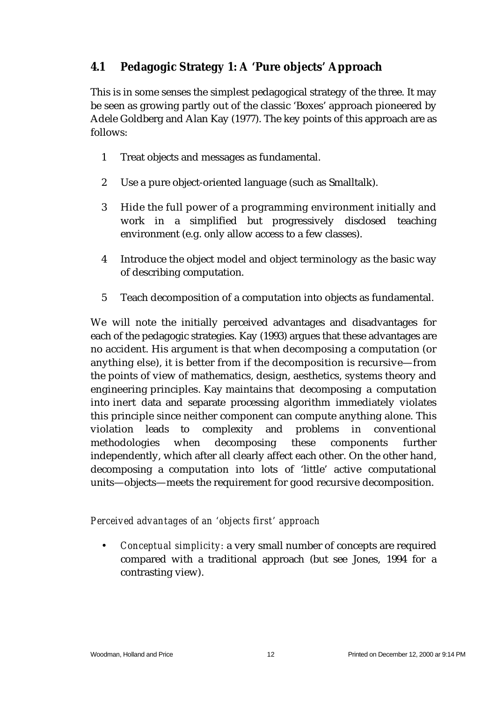### **4.1 Pedagogic Strategy 1: A 'Pure objects' Approach**

This is in some senses the simplest pedagogical strategy of the three. It may be seen as growing partly out of the classic 'Boxes' approach pioneered by Adele Goldberg and Alan Kay (1977). The key points of this approach are as follows:

- 1 Treat objects and messages as fundamental.
- 2 Use a pure object-oriented language (such as Smalltalk).
- 3 Hide the full power of a programming environment initially and work in a simplified but progressively disclosed teaching environment (e.g. only allow access to a few classes).
- 4 Introduce the object model and object terminology as the basic way of describing computation.
- 5 Teach decomposition of a computation into objects as fundamental.

We will note the initially perceived advantages and disadvantages for each of the pedagogic strategies. Kay (1993) argues that these advantages are no accident. His argument is that when decomposing a computation (or anything else), it is better from if the decomposition is recursive—from the points of view of mathematics, design, aesthetics, systems theory and engineering principles. Kay maintains that decomposing a computation into inert data and separate processing algorithm immediately violates this principle since neither component can compute anything alone. This violation leads to complexity and problems in conventional methodologies when decomposing these components further independently, which after all clearly affect each other. On the other hand, decomposing a computation into lots of 'little' active computational units—objects—meets the requirement for good recursive decomposition.

*Perceived advantages of an 'objects first' approach*

• *Conceptual simplicity:* a very small number of concepts are required compared with a traditional approach (but see Jones, 1994 for a contrasting view).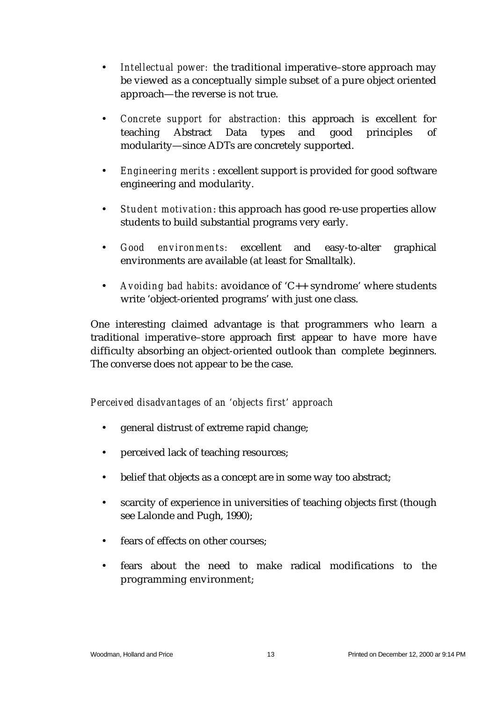- *Intellectual power:* the traditional imperative–store approach may be viewed as a conceptually simple subset of a pure object oriented approach—the reverse is not true.
- *Concrete support for abstraction:* this approach is excellent for teaching Abstract Data types and good principles of modularity—since ADTs are concretely supported.
- *Engineering merits* : excellent support is provided for good software engineering and modularity.
- *Student motivation*: this approach has good re-use properties allow students to build substantial programs very early.
- *Good environments:* excellent and easy-to-alter graphical environments are available (at least for Smalltalk).
- *Avoiding bad habits:* avoidance of 'C++ syndrome' where students write 'object-oriented programs' with just one class.

One interesting claimed advantage is that programmers who learn a traditional imperative–store approach first appear to have more have difficulty absorbing an object-oriented outlook than complete beginners. The converse does not appear to be the case.

*Perceived disadvantages of an 'objects first' approach*

- general distrust of extreme rapid change;
- perceived lack of teaching resources;
- belief that objects as a concept are in some way too abstract;
- scarcity of experience in universities of teaching objects first (though see Lalonde and Pugh, 1990);
- fears of effects on other courses:
- fears about the need to make radical modifications to the programming environment;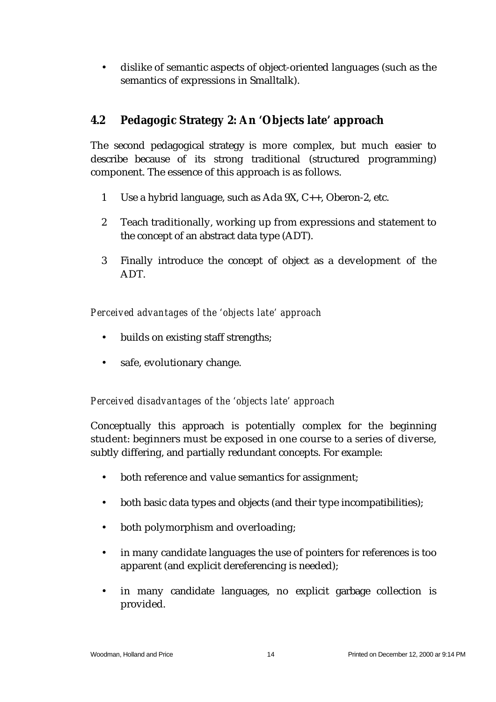• dislike of semantic aspects of object-oriented languages (such as the semantics of expressions in Smalltalk).

### **4.2 Pedagogic Strategy 2: An 'Objects late' approach**

The second pedagogical strategy is more complex, but much easier to describe because of its strong traditional (structured programming) component. The essence of this approach is as follows.

- 1 Use a hybrid language, such as Ada 9X, C++, Oberon-2, etc.
- 2 Teach traditionally, working up from expressions and statement to the concept of an abstract data type (ADT).
- 3 Finally introduce the concept of object as a development of the ADT.

*Perceived advantages of the 'objects late' approach*

- builds on existing staff strengths;
- safe, evolutionary change.

*Perceived disadvantages of the 'objects late' approach*

Conceptually this approach is potentially complex for the beginning student: beginners must be exposed in one course to a series of diverse, subtly differing, and partially redundant concepts. For example:

- both reference and value semantics for assignment;
- both basic data types and objects (and their type incompatibilities);
- both polymorphism and overloading;
- in many candidate languages the use of pointers for references is too apparent (and explicit dereferencing is needed);
- in many candidate languages, no explicit garbage collection is provided.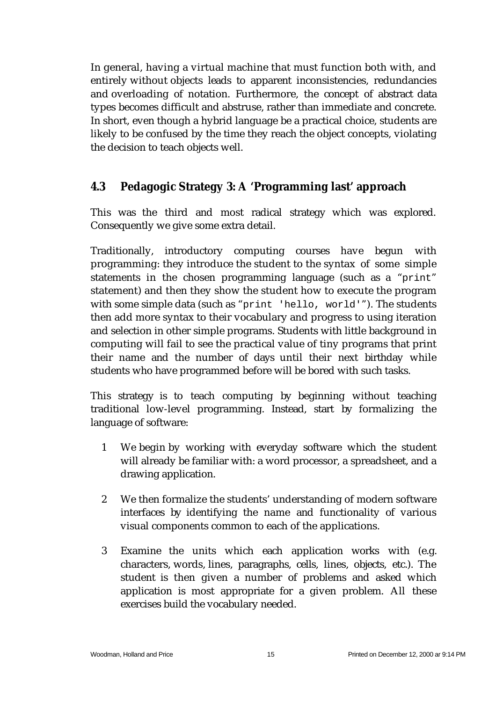In general, having a virtual machine that must function both with, and entirely without objects leads to apparent inconsistencies, redundancies and overloading of notation. Furthermore, the concept of abstract data types becomes difficult and abstruse, rather than immediate and concrete. In short, even though a hybrid language be a practical choice, students are likely to be confused by the time they reach the object concepts, violating the decision to teach objects well.

### **4.3 Pedagogic Strategy 3: A 'Programming last' approach**

This was the third and most radical strategy which was explored. Consequently we give some extra detail.

Traditionally, introductory computing courses have begun with programming: they introduce the student to the syntax of some simple statements in the chosen programming language (such as a "print" statement) and then they show the student how to execute the program with some simple data (such as "print 'hello, world'"). The students then add more syntax to their vocabulary and progress to using iteration and selection in other simple programs. Students with little background in computing will fail to see the practical value of tiny programs that print their name and the number of days until their next birthday while students who have programmed before will be bored with such tasks.

This strategy is to teach computing by beginning without teaching traditional low-level programming. Instead, start by formalizing the language of software:

- 1 We begin by working with everyday software which the student will already be familiar with: a word processor, a spreadsheet, and a drawing application.
- 2 We then formalize the students' understanding of modern software interfaces by identifying the name and functionality of various visual components common to each of the applications.
- 3 Examine the units which each application works with (e.g. characters, words, lines, paragraphs, cells, lines, objects, etc.). The student is then given a number of problems and asked which application is most appropriate for a given problem. All these exercises build the vocabulary needed.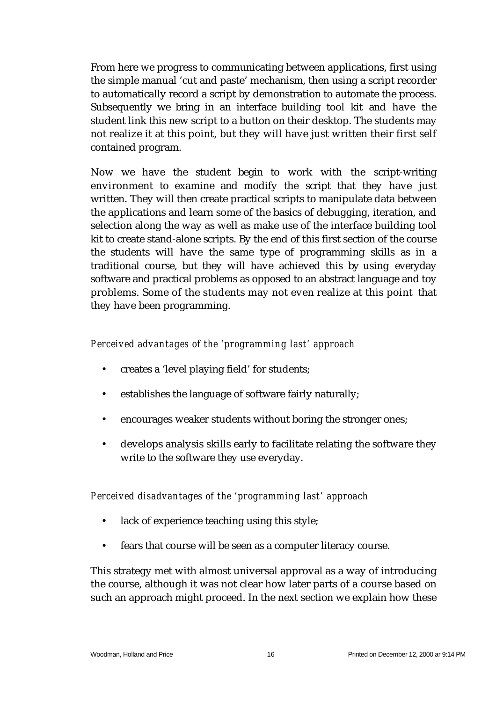From here we progress to communicating between applications, first using the simple manual 'cut and paste' mechanism, then using a script recorder to automatically record a script by demonstration to automate the process. Subsequently we bring in an interface building tool kit and have the student link this new script to a button on their desktop. The students may not realize it at this point, but they will have just written their first self contained program.

Now we have the student begin to work with the script-writing environment to examine and modify the script that they have just written. They will then create practical scripts to manipulate data between the applications and learn some of the basics of debugging, iteration, and selection along the way as well as make use of the interface building tool kit to create stand-alone scripts. By the end of this first section of the course the students will have the same type of programming skills as in a traditional course, but they will have achieved this by using everyday software and practical problems as opposed to an abstract language and toy problems. Some of the students may not even realize at this point that they have been programming.

#### *Perceived advantages of the 'programming last' approach*

- creates a 'level playing field' for students;
- establishes the language of software fairly naturally;
- encourages weaker students without boring the stronger ones;
- develops analysis skills early to facilitate relating the software they write to the software they use everyday.

*Perceived disadvantages of the 'programming last' approach*

- lack of experience teaching using this style;
- fears that course will be seen as a computer literacy course.

This strategy met with almost universal approval as a way of introducing the course, although it was not clear how later parts of a course based on such an approach might proceed. In the next section we explain how these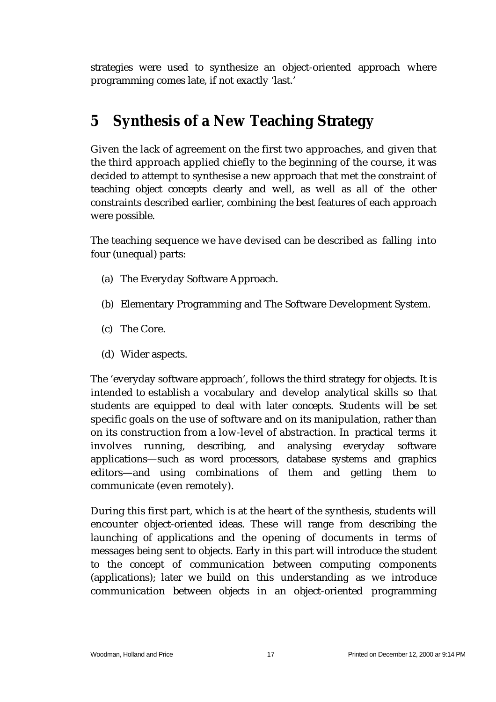strategies were used to synthesize an object-oriented approach where programming comes late, if not exactly 'last.'

## **5 Synthesis of a New Teaching Strategy**

Given the lack of agreement on the first two approaches, and given that the third approach applied chiefly to the beginning of the course, it was decided to attempt to synthesise a new approach that met the constraint of teaching object concepts clearly and well, as well as all of the other constraints described earlier, combining the best features of each approach were possible.

The teaching sequence we have devised can be described as falling into four (unequal) parts:

- (a) The Everyday Software Approach.
- (b) Elementary Programming and The Software Development System.
- (c) The Core.
- (d) Wider aspects.

The 'everyday software approach', follows the third strategy for objects. It is intended to establish a vocabulary and develop analytical skills so that students are equipped to deal with later concepts. Students will be set specific goals on the use of software and on its manipulation, rather than on its construction from a low-level of abstraction. In practical terms it involves running, describing, and analysing everyday software applications—such as word processors, database systems and graphics editors—and using combinations of them and getting them to communicate (even remotely).

During this first part, which is at the heart of the synthesis, students will encounter object-oriented ideas. These will range from describing the launching of applications and the opening of documents in terms of messages being sent to objects. Early in this part will introduce the student to the concept of communication between computing components (applications); later we build on this understanding as we introduce communication between objects in an object-oriented programming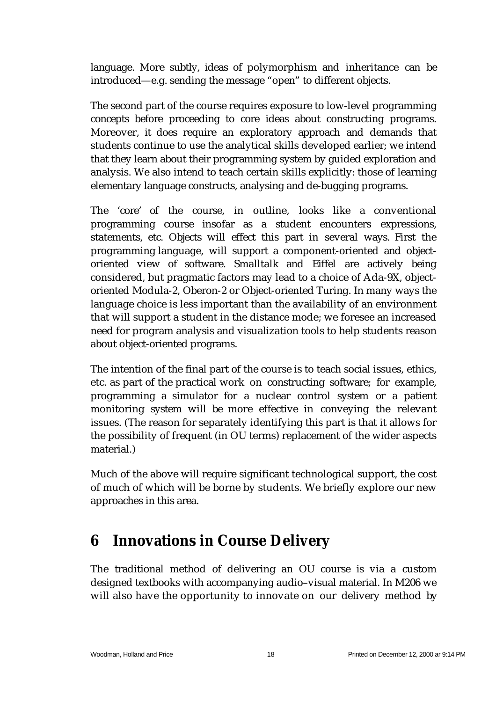language. More subtly, ideas of polymorphism and inheritance can be introduced—e.g. sending the message "open" to different objects.

The second part of the course requires exposure to low-level programming concepts before proceeding to core ideas about constructing programs. Moreover, it does require an exploratory approach and demands that students continue to use the analytical skills developed earlier; we intend that they learn about their programming system by guided exploration and analysis. We also intend to teach certain skills explicitly: those of learning elementary language constructs, analysing and de-bugging programs.

The 'core' of the course, in outline, looks like a conventional programming course insofar as a student encounters expressions, statements, etc. Objects will effect this part in several ways. First the programming language, will support a component-oriented and objectoriented view of software. Smalltalk and Eiffel are actively being considered, but pragmatic factors may lead to a choice of Ada-9X, objectoriented Modula-2, Oberon-2 or Object-oriented Turing. In many ways the language choice is less important than the availability of an environment that will support a student in the distance mode; we foresee an increased need for program analysis and visualization tools to help students reason about object-oriented programs.

The intention of the final part of the course is to teach social issues, ethics, etc. as part of the practical work on constructing software; for example, programming a simulator for a nuclear control system or a patient monitoring system will be more effective in conveying the relevant issues. (The reason for separately identifying this part is that it allows for the possibility of frequent (in OU terms) replacement of the wider aspects material.)

Much of the above will require significant technological support, the cost of much of which will be borne by students. We briefly explore our new approaches in this area.

### **6 Innovations in Course Delivery**

The traditional method of delivering an OU course is via a custom designed textbooks with accompanying audio–visual material. In M206 we will also have the opportunity to innovate on our delivery method by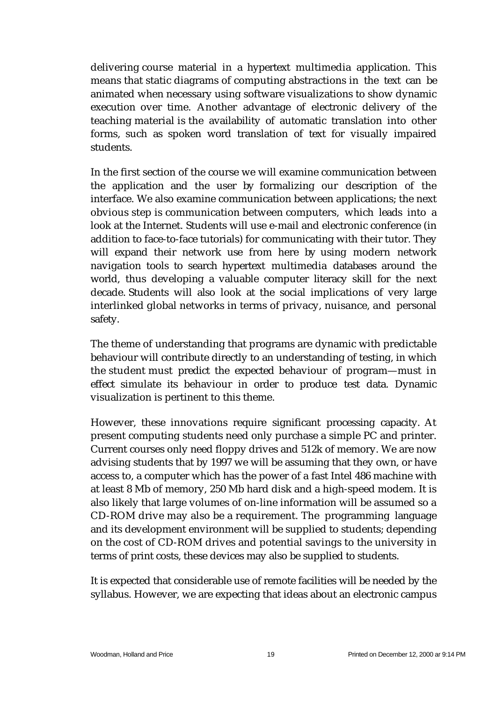delivering course material in a hypertext multimedia application. This means that static diagrams of computing abstractions in the text can be animated when necessary using software visualizations to show dynamic execution over time. Another advantage of electronic delivery of the teaching material is the availability of automatic translation into other forms, such as spoken word translation of text for visually impaired students.

In the first section of the course we will examine communication between the application and the user by formalizing our description of the interface. We also examine communication between applications; the next obvious step is communication between computers, which leads into a look at the Internet. Students will use e-mail and electronic conference (in addition to face-to-face tutorials) for communicating with their tutor. They will expand their network use from here by using modern network navigation tools to search hypertext multimedia databases around the world, thus developing a valuable computer literacy skill for the next decade. Students will also look at the social implications of very large interlinked global networks in terms of privacy, nuisance, and personal safety.

The theme of understanding that programs are dynamic with predictable behaviour will contribute directly to an understanding of testing, in which the student must predict the expected behaviour of program—must in effect simulate its behaviour in order to produce test data. Dynamic visualization is pertinent to this theme.

However, these innovations require significant processing capacity. At present computing students need only purchase a simple PC and printer. Current courses only need floppy drives and 512k of memory. We are now advising students that by 1997 we will be assuming that they own, or have access to, a computer which has the power of a fast Intel 486 machine with at least 8 Mb of memory, 250 Mb hard disk and a high-speed modem. It is also likely that large volumes of on-line information will be assumed so a CD-ROM drive may also be a requirement. The programming language and its development environment will be supplied to students; depending on the cost of CD-ROM drives and potential savings to the university in terms of print costs, these devices may also be supplied to students.

It is expected that considerable use of remote facilities will be needed by the syllabus. However, we are expecting that ideas about an electronic campus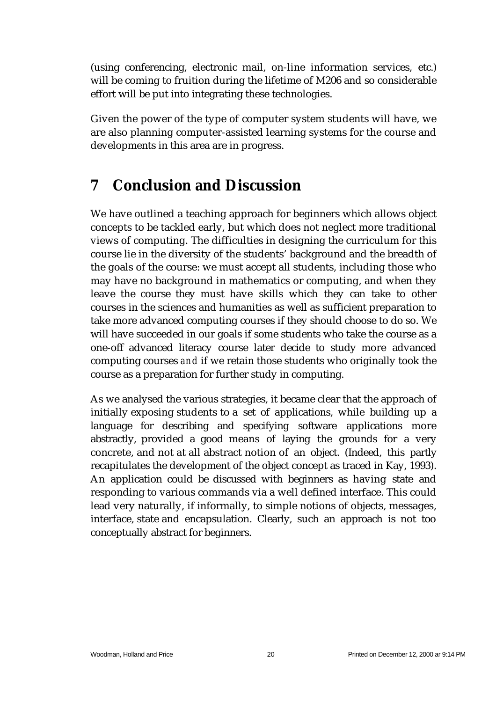(using conferencing, electronic mail, on-line information services, etc.) will be coming to fruition during the lifetime of M206 and so considerable effort will be put into integrating these technologies.

Given the power of the type of computer system students will have, we are also planning computer-assisted learning systems for the course and developments in this area are in progress.

# **7 Conclusion and Discussion**

We have outlined a teaching approach for beginners which allows object concepts to be tackled early, but which does not neglect more traditional views of computing. The difficulties in designing the curriculum for this course lie in the diversity of the students' background and the breadth of the goals of the course: we must accept all students, including those who may have no background in mathematics or computing, and when they leave the course they must have skills which they can take to other courses in the sciences and humanities as well as sufficient preparation to take more advanced computing courses if they should choose to do so. We will have succeeded in our goals if some students who take the course as a one-off advanced literacy course later decide to study more advanced computing courses *and* if we retain those students who originally took the course as a preparation for further study in computing.

As we analysed the various strategies, it became clear that the approach of initially exposing students to a set of applications, while building up a language for describing and specifying software applications more abstractly, provided a good means of laying the grounds for a very concrete, and not at all abstract notion of an object. (Indeed, this partly recapitulates the development of the object concept as traced in Kay, 1993). An application could be discussed with beginners as having state and responding to various commands via a well defined interface. This could lead very naturally, if informally, to simple notions of objects, messages, interface, state and encapsulation. Clearly, such an approach is not too conceptually abstract for beginners.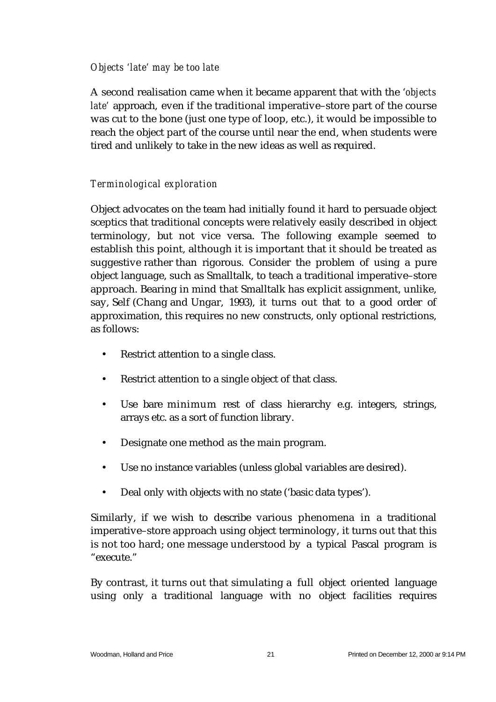#### *Objects 'late' may be too late*

A second realisation came when it became apparent that with the '*objects late'* approach, even if the traditional imperative–store part of the course was cut to the bone (just one type of loop, etc.), it would be impossible to reach the object part of the course until near the end, when students were tired and unlikely to take in the new ideas as well as required.

#### *Terminological exploration*

Object advocates on the team had initially found it hard to persuade object sceptics that traditional concepts were relatively easily described in object terminology, but not vice versa. The following example seemed to establish this point, although it is important that it should be treated as suggestive rather than rigorous. Consider the problem of using a pure object language, such as Smalltalk, to teach a traditional imperative–store approach. Bearing in mind that Smalltalk has explicit assignment, unlike, say, Self (Chang and Ungar, 1993), it turns out that to a good order of approximation, this requires no new constructs, only optional restrictions, as follows:

- Restrict attention to a single class.
- Restrict attention to a single object of that class.
- Use bare minimum rest of class hierarchy e.g. integers, strings, arrays etc. as a sort of function library.
- Designate one method as the main program.
- Use no instance variables (unless global variables are desired).
- Deal only with objects with no state ('basic data types').

Similarly, if we wish to describe various phenomena in a traditional imperative–store approach using object terminology, it turns out that this is not too hard; one message understood by a typical Pascal program is "execute."

By contrast, it turns out that simulating a full object oriented language using only a traditional language with no object facilities requires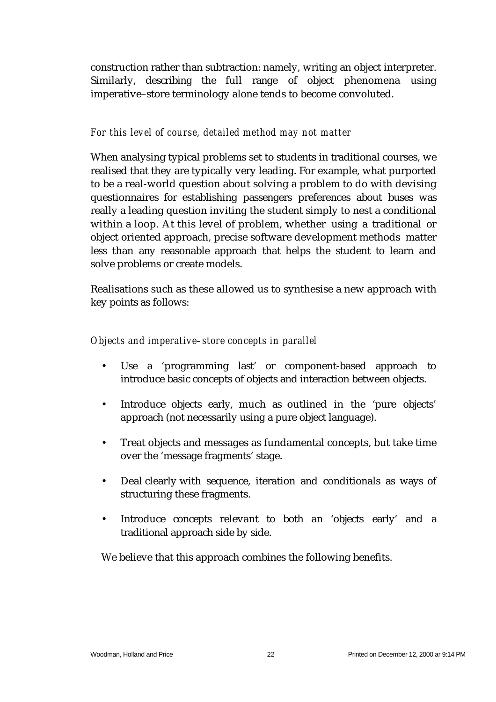construction rather than subtraction: namely, writing an object interpreter. Similarly, describing the full range of object phenomena using imperative–store terminology alone tends to become convoluted.

#### *For this level of course, detailed method may not matter*

When analysing typical problems set to students in traditional courses, we realised that they are typically very leading. For example, what purported to be a real-world question about solving a problem to do with devising questionnaires for establishing passengers preferences about buses was really a leading question inviting the student simply to nest a conditional within a loop. At this level of problem, whether using a traditional or object oriented approach, precise software development methods matter less than any reasonable approach that helps the student to learn and solve problems or create models.

Realisations such as these allowed us to synthesise a new approach with key points as follows:

#### *Objects and imperative–store concepts in parallel*

- Use a 'programming last' or component-based approach to introduce basic concepts of objects and interaction between objects.
- Introduce objects early, much as outlined in the 'pure objects' approach (not necessarily using a pure object language).
- Treat objects and messages as fundamental concepts, but take time over the 'message fragments' stage.
- Deal clearly with sequence, iteration and conditionals as ways of structuring these fragments.
- Introduce concepts relevant to both an 'objects early' and a traditional approach side by side.

We believe that this approach combines the following benefits.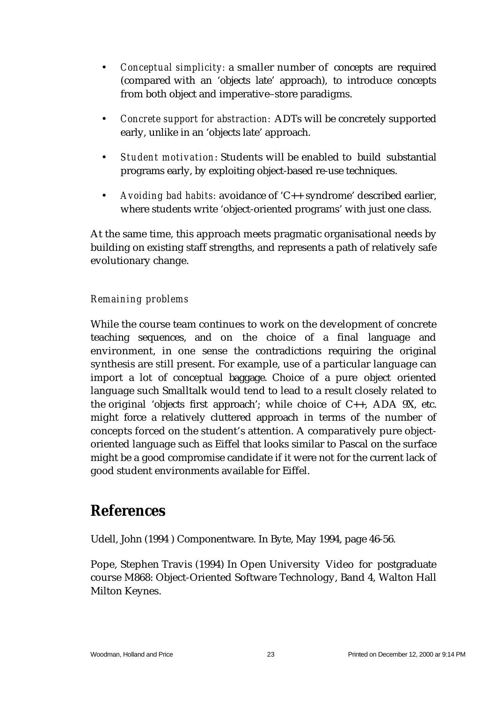- *Conceptual simplicity:* a smaller number of concepts are required (compared with an 'objects late' approach), to introduce concepts from both object and imperative–store paradigms.
- *Concrete support for abstraction:* ADTs will be concretely supported early, unlike in an 'objects late' approach.
- *Student motivation*: Students will be enabled to build substantial programs early, by exploiting object-based re-use techniques.
- *Avoiding bad habits:* avoidance of 'C++ syndrome' described earlier, where students write 'object-oriented programs' with just one class.

At the same time, this approach meets pragmatic organisational needs by building on existing staff strengths, and represents a path of relatively safe evolutionary change.

#### *Remaining problems*

While the course team continues to work on the development of concrete teaching sequences, and on the choice of a final language and environment, in one sense the contradictions requiring the original synthesis are still present. For example, use of a particular language can import a lot of conceptual baggage. Choice of a pure object oriented language such Smalltalk would tend to lead to a result closely related to the original 'objects first approach'; while choice of C++, ADA 9X, etc. might force a relatively cluttered approach in terms of the number of concepts forced on the student's attention. A comparatively pure objectoriented language such as Eiffel that looks similar to Pascal on the surface might be a good compromise candidate if it were not for the current lack of good student environments available for Eiffel.

### **References**

Udell, John (1994 ) Componentware. In Byte, May 1994, page 46-56.

Pope, Stephen Travis (1994) In Open University Video for postgraduate course M868: Object-Oriented Software Technology, Band 4, Walton Hall Milton Keynes.